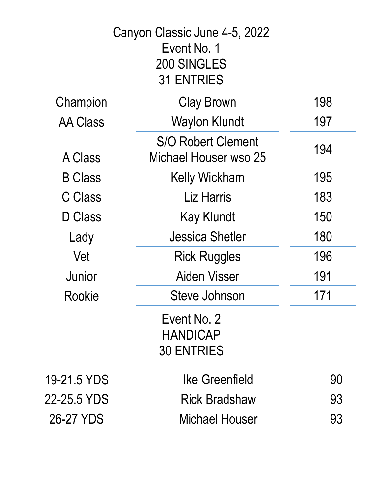|                 | Canyon Classic June 4-5, 2022<br>Event No. 1<br>200 SINGLES<br><b>31 ENTRIES</b> |     |
|-----------------|----------------------------------------------------------------------------------|-----|
| Champion        | <b>Clay Brown</b>                                                                | 198 |
| <b>AA Class</b> | <b>Waylon Klundt</b>                                                             | 197 |
| A Class         | <b>S/O Robert Clement</b><br>Michael Houser wso 25                               | 194 |
| <b>B</b> Class  | <b>Kelly Wickham</b>                                                             | 195 |
| <b>C Class</b>  | <b>Liz Harris</b>                                                                | 183 |
| D Class         | <b>Kay Klundt</b>                                                                | 150 |
| Lady            | Jessica Shetler                                                                  | 180 |
| Vet             | <b>Rick Ruggles</b>                                                              | 196 |
| Junior          | <b>Aiden Visser</b>                                                              | 191 |
| Rookie          | Steve Johnson                                                                    | 171 |
|                 | Event No. 2<br>HANDICAP<br><b>30 ENTRIES</b>                                     |     |
| 19-21.5 YDS     | Ike Greenfield                                                                   | 90  |
| 22-25.5 YDS     | <b>Rick Bradshaw</b>                                                             | 93  |
| 26-27 YDS       | <b>Michael Houser</b>                                                            | 93  |
|                 |                                                                                  |     |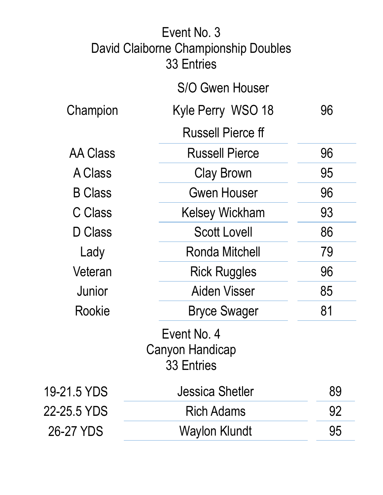|                 | Event No. 3<br>David Claiborne Championship Doubles<br><b>33 Entries</b> |    |
|-----------------|--------------------------------------------------------------------------|----|
|                 | <b>S/O Gwen Houser</b>                                                   |    |
| Champion        | Kyle Perry WSO 18                                                        | 96 |
|                 | <b>Russell Pierce ff</b>                                                 |    |
| <b>AA Class</b> | <b>Russell Pierce</b>                                                    | 96 |
| A Class         | <b>Clay Brown</b>                                                        | 95 |
| <b>B</b> Class  | <b>Gwen Houser</b>                                                       | 96 |
| C Class         | <b>Kelsey Wickham</b>                                                    | 93 |
| D Class         | <b>Scott Lovell</b>                                                      | 86 |
| Lady            | Ronda Mitchell                                                           | 79 |
| Veteran         | <b>Rick Ruggles</b>                                                      | 96 |
| Junior          | Aiden Visser                                                             | 85 |
| <b>Rookie</b>   | <b>Bryce Swager</b>                                                      | 81 |
|                 | Event No. 4<br><b>Canyon Handicap</b><br><b>33 Entries</b>               |    |
| 19-21.5 YDS     | Jessica Shetler                                                          | 89 |
| 22-25.5 YDS     | <b>Rich Adams</b>                                                        | 92 |
| 26-27 YDS       | <b>Waylon Klundt</b>                                                     | 95 |